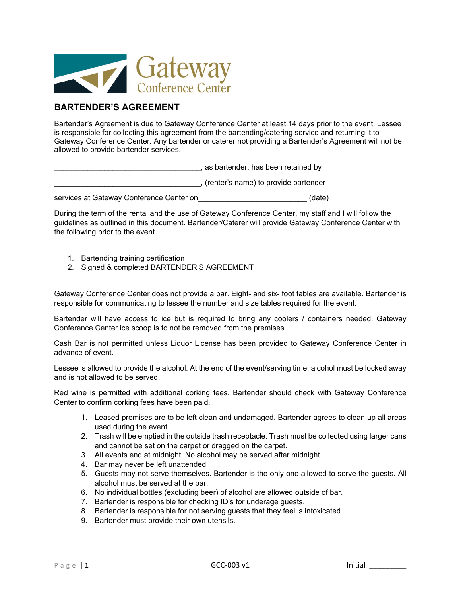

## **BARTENDER'S AGREEMENT**

Bartender's Agreement is due to Gateway Conference Center at least 14 days prior to the event. Lessee is responsible for collecting this agreement from the bartending/catering service and returning it to Gateway Conference Center. Any bartender or caterer not providing a Bartender's Agreement will not be allowed to provide bartender services.

\_\_\_\_\_\_\_\_\_\_\_\_\_\_\_\_\_\_\_\_\_\_\_\_\_\_\_\_\_\_\_\_\_\_\_, as bartender, has been retained by \_\_\_\_\_\_\_\_\_\_\_\_\_\_\_\_\_\_\_\_\_\_\_\_\_\_\_\_\_\_\_\_\_\_\_, (renter's name) to provide bartender

services at Gateway Conference Center on example of the services of (date)

During the term of the rental and the use of Gateway Conference Center, my staff and I will follow the guidelines as outlined in this document. Bartender/Caterer will provide Gateway Conference Center with the following prior to the event.

- 1. Bartending training certification
- 2. Signed & completed BARTENDER'S AGREEMENT

Gateway Conference Center does not provide a bar. Eight- and six- foot tables are available. Bartender is responsible for communicating to lessee the number and size tables required for the event.

Bartender will have access to ice but is required to bring any coolers / containers needed. Gateway Conference Center ice scoop is to not be removed from the premises.

Cash Bar is not permitted unless Liquor License has been provided to Gateway Conference Center in advance of event.

Lessee is allowed to provide the alcohol. At the end of the event/serving time, alcohol must be locked away and is not allowed to be served.

Red wine is permitted with additional corking fees. Bartender should check with Gateway Conference Center to confirm corking fees have been paid.

- 1. Leased premises are to be left clean and undamaged. Bartender agrees to clean up all areas used during the event.
- 2. Trash will be emptied in the outside trash receptacle. Trash must be collected using larger cans and cannot be set on the carpet or dragged on the carpet.
- 3. All events end at midnight. No alcohol may be served after midnight.
- 4. Bar may never be left unattended
- 5. Guests may not serve themselves. Bartender is the only one allowed to serve the guests. All alcohol must be served at the bar.
- 6. No individual bottles (excluding beer) of alcohol are allowed outside of bar.
- 7. Bartender is responsible for checking ID's for underage guests.
- 8. Bartender is responsible for not serving guests that they feel is intoxicated.
- 9. Bartender must provide their own utensils.